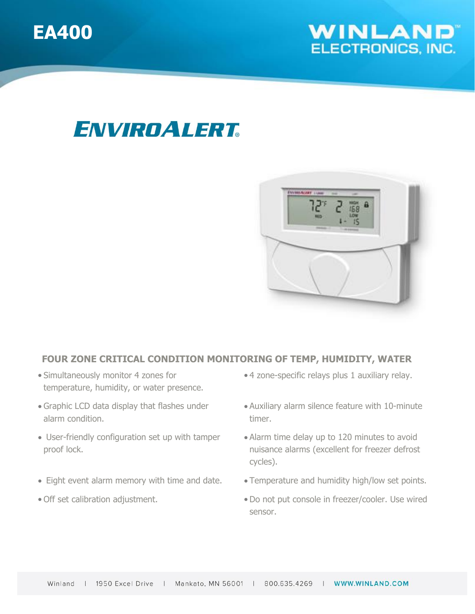



## ENVIROALERT



### **FOUR ZONE CRITICAL CONDITION MONITORING OF TEMP, HUMIDITY, WATER**

- Simultaneously monitor 4 zones for temperature, humidity, or water presence.
- Graphic LCD data display that flashes under alarm condition.
- User-friendly configuration set up with tamper proof lock.
- Eight event alarm memory with time and date. Temperature and humidity high/low set points.
- 
- 4 zone-specific relays plus 1 auxiliary relay.
- Auxiliary alarm silence feature with 10-minute timer.
- Alarm time delay up to 120 minutes to avoid nuisance alarms (excellent for freezer defrost cycles).
- 
- Off set calibration adjustment. • Do not put console in freezer/cooler. Use wired sensor.